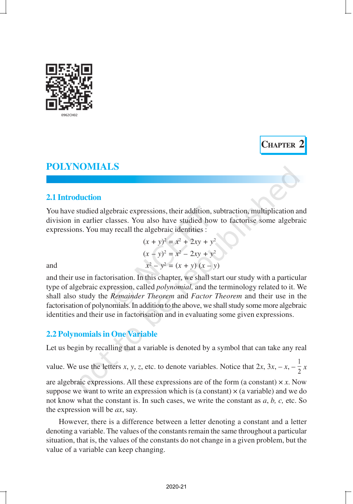

# **2.1 Introduction**

You have studied algebraic expressions, their addition, subtraction, multiplication and division in earlier classes. You also have studied how to factorise some algebraic expressions. You may recall the algebraic identities :

**CHAPTER 2**

|     | $(x + y)^2 = x^2 + 2xy + y^2$ |
|-----|-------------------------------|
|     | $(x - y)^2 = x^2 - 2xy + y^2$ |
| and | $x^2 - y^2 = (x + y)(x - y)$  |

and their use in factorisation. In this chapter, we shall start our study with a particular type of algebraic expression, called *polynomial,* and the terminology related to it. We shall also study the *Remainder Theorem* and *Factor Theorem* and their use in the factorisation of polynomials. In addition to the above, we shall study some more algebraic identities and their use in factorisation and in evaluating some given expressions.

# **2.2 Polynomials in One Variable**

Let us begin by recalling that a variable is denoted by a symbol that can take any real

value. We use the letters *x*, *y*, *z*, etc. to denote variables. Notice that  $2x$ ,  $3x$ ,  $-x$ ,  $-\frac{1}{2}x$ 

are algebraic expressions. All these expressions are of the form (a constant)  $\times x$ . Now suppose we want to write an expression which is (a constant)  $\times$  (a variable) and we do not know what the constant is. In such cases, we write the constant as *a*, *b, c,* etc. So the expression will be *ax*, say.

However, there is a difference between a letter denoting a constant and a letter denoting a variable. The values of the constants remain the same throughout a particular situation, that is, the values of the constants do not change in a given problem, but the value of a variable can keep changing.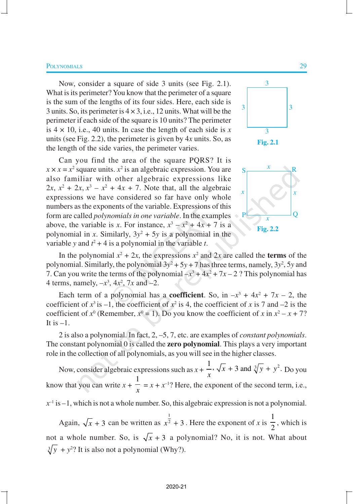Now, consider a square of side 3 units (see Fig. 2.1). What is its perimeter? You know that the perimeter of a square is the sum of the lengths of its four sides. Here, each side is 3 units. So, its perimeter is  $4 \times 3$ , i.e., 12 units. What will be the perimeter if each side of the square is 10 units? The perimeter is 4 × 10, i.e., 40 units. In case the length of each side is *x* units (see Fig. 2.2), the perimeter is given by 4*x* units. So, as the length of the side varies, the perimeter varies.

Can you find the area of the square PQRS? It is  $x \times x = x^2$  square units.  $x^2$  is an algebraic expression. You are also familiar with other algebraic expressions like  $2x, x^2 + 2x, x^3 - x^2 + 4x + 7$ . Note that, all the algebraic expressions we have considered so far have only whole numbers as the exponents of the variable. Expressions of this form are called *polynomials in one variable*. In the examples above, the variable is *x*. For instance,  $x^3 - x^2 + 4x + 7$  is a polynomial in *x*. Similarly,  $3y^2 + 5y$  is a polynomial in the variable *y* and  $t^2 + 4$  is a polynomial in the variable *t*.





In the polynomial  $x^2 + 2x$ , the expressions  $x^2$  and  $2x$  are called the **terms** of the polynomial. Similarly, the polynomial  $3y^2 + 5y + 7$  has three terms, namely,  $3y^2$ , 5*y* and 7. Can you write the terms of the polynomial  $-x^3 + 4x^2 + 7x - 2$ ? This polynomial has 4 terms, namely,  $-x^3$ ,  $4x^2$ ,  $7x$  and  $-2$ .

Each term of a polynomial has a **coefficient**. So, in  $-x^3 + 4x^2 + 7x - 2$ , the coefficient of  $x^3$  is  $-1$ , the coefficient of  $x^2$  is 4, the coefficient of x is 7 and  $-2$  is the coefficient of  $x^0$  (Remember,  $x^0 = 1$ ). Do you know the coefficient of x in  $x^2 - x + 7$ ? It is  $-1$ .

2 is also a polynomial. In fact, 2, –5, 7, etc. are examples of *constant polynomials*. The constant polynomial 0 is called the **zero polynomial**. This plays a very important role in the collection of all polynomials, as you will see in the higher classes.

Now, consider algebraic expressions such as  $x + \frac{1}{x}$ ,  $\sqrt{x} + 3$  and  $\sqrt[3]{y} + y^2$ .  $\frac{1}{x}$ ,  $\sqrt{x}$  + 3 and  $\sqrt[3]{y}$  +  $y^2$ . Do you know that you can write  $x +$ 1  $\frac{1}{x} = x + x^{-1}$ ? Here, the exponent of the second term, i.e.,

 $x<sup>-1</sup>$  is  $-1$ , which is not a whole number. So, this algebraic expression is not a polynomial.

Again,  $\sqrt{x} + 3$  can be written as 1  $x^2 + 3$ . Here the exponent of *x* is 1  $\frac{1}{2}$ , which is not a whole number. So, is  $\sqrt{x} + 3$  a polynomial? No, it is not. What about  $\sqrt[3]{y}$  +  $y^2$ ? It is also not a polynomial (Why?).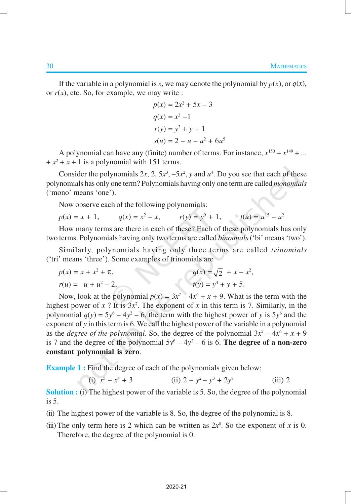If the variable in a polynomial is *x*, we may denote the polynomial by  $p(x)$ , or  $q(x)$ , or  $r(x)$ , etc. So, for example, we may write :

$$
p(x) = 2x^{2} + 5x - 3
$$
  
\n
$$
q(x) = x^{3} - 1
$$
  
\n
$$
r(y) = y^{3} + y + 1
$$
  
\n
$$
s(u) = 2 - u - u^{2} + 6u^{5}
$$

A polynomial can have any (finite) number of terms. For instance,  $x^{150} + x^{149} + ...$  $+x^2 + x + 1$  is a polynomial with 151 terms.

Consider the polynomials  $2x$ ,  $2$ ,  $5x^3$ ,  $-5x^2$ ,  $y$  and  $u^4$ . Do you see that each of these polynomials has only one term? Polynomials having only one term are called *monomials* ('mono' means 'one').

Now observe each of the following polynomials:

$$
p(x) = x + 1,
$$
  $q(x) = x^2 - x,$   $r(y) = y^9 + 1,$   $t(u) = u^{15} - u^2$ 

How many terms are there in each of these? Each of these polynomials has only two terms. Polynomials having only two terms are called *binomials* ('bi' means 'two').

Similarly, polynomials having only three terms are called *trinomials* ('tri' means 'three'). Some examples of trinomials are

$$
p(x) = x + x2 + \pi,
$$
  
\n
$$
r(u) = u + u2 - 2,
$$
  
\n
$$
q(x) = \sqrt{2} + x - x2,
$$
  
\n
$$
t(y) = y4 + y + 5.
$$

Now, look at the polynomial  $p(x) = 3x^7 - 4x^6 + x + 9$ . What is the term with the highest power of  $x$  ? It is  $3x^7$ . The exponent of  $x$  in this term is 7. Similarly, in the polynomial  $q(y) = 5y^6 - 4y^2 - 6$ , the term with the highest power of *y* is  $5y^6$  and the exponent of *y* in this term is 6. We call the highest power of the variable in a polynomial as the *degree of the polynomial*. So, the degree of the polynomial  $3x^7 - 4x^6 + x + 9$ is 7 and the degree of the polynomial  $5y^6 - 4y^2 - 6$  is 6. **The degree of a non-zero constant polynomial is zero**.

**Example 1 :** Find the degree of each of the polynomials given below:

(i) 
$$
x^5 - x^4 + 3
$$
 (ii)  $2 - y^2 - y^3 + 2y^8$  (iii) 2

**Solution :** (i) The highest power of the variable is 5. So, the degree of the polynomial is 5.

- (ii) The highest power of the variable is 8. So, the degree of the polynomial is 8.
- (iii) The only term here is 2 which can be written as  $2x^0$ . So the exponent of *x* is 0. Therefore, the degree of the polynomial is 0.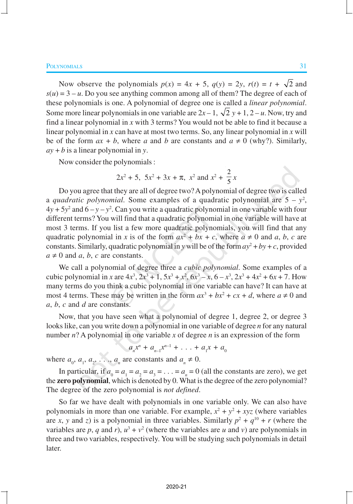Now observe the polynomials  $p(x) = 4x + 5$ ,  $q(y) = 2y$ ,  $r(t) = t + \sqrt{2}$  and  $s(u) = 3 - u$ . Do you see anything common among all of them? The degree of each of these polynomials is one. A polynomial of degree one is called a *linear polynomial*. Some more linear polynomials in one variable are  $2x - 1$ ,  $\sqrt{2}y + 1$ ,  $2 - u$ . Now, try and find a linear polynomial in *x* with 3 terms? You would not be able to find it because a linear polynomial in *x* can have at most two terms. So, any linear polynomial in *x* will be of the form  $ax + b$ , where *a* and *b* are constants and  $a \neq 0$  (why?). Similarly, *ay* + *b* is a linear polynomial in *y*.

Now consider the polynomials :

$$
2x^2 + 5
$$
,  $5x^2 + 3x + \pi$ ,  $x^2$  and  $x^2 + \frac{2}{5}x$ 

Do you agree that they are all of degree two? A polynomial of degree two is called a *quadratic polynomial*. Some examples of a quadratic polynomial are  $5 - y^2$ ,  $4y + 5y^2$  and  $6 - y - y^2$ . Can you write a quadratic polynomial in one variable with four different terms? You will find that a quadratic polynomial in one variable will have at most 3 terms. If you list a few more quadratic polynomials, you will find that any quadratic polynomial in *x* is of the form  $ax^2 + bx + c$ , where  $a \neq 0$  and *a*, *b*, *c* are constants. Similarly, quadratic polynomial in *y* will be of the form  $ay^2 + by + c$ , provided  $a \neq 0$  and *a*, *b*, *c* are constants.

We call a polynomial of degree three a *cubic polynomial*. Some examples of a cubic polynomial in *x* are  $4x^3$ ,  $2x^3 + 1$ ,  $5x^3 + x^2$ ,  $6x^3 - x$ ,  $6 - x^3$ ,  $2x^3 + 4x^2 + 6x + 7$ . How many terms do you think a cubic polynomial in one variable can have? It can have at most 4 terms. These may be written in the form  $ax^3 + bx^2 + cx + d$ , where  $a \neq 0$  and *a*, *b*, *c* and *d* are constants.

Now, that you have seen what a polynomial of degree 1, degree 2, or degree 3 looks like, can you write down a polynomial in one variable of degree *n* for any natural number *n*? A polynomial in one variable *x* of degree *n* is an expression of the form

 $a_n x^n + a_{n-1} x^{n-1} + \ldots + a_1 x + a_0$ 

where  $a_0$ ,  $a_1$ ,  $a_2$ , ...,  $a_n$  are constants and  $a_n \neq 0$ .

In particular, if  $a_0 = a_1 = a_2 = a_3 = \ldots = a_n = 0$  (all the constants are zero), we get the **zero polynomial**, which is denoted by 0. What is the degree of the zero polynomial? The degree of the zero polynomial is *not defined*.

So far we have dealt with polynomials in one variable only. We can also have polynomials in more than one variable. For example,  $x^2 + y^2 + xyz$  (where variables are *x*, *y* and *z*) is a polynomial in three variables. Similarly  $p^2 + q^{10} + r$  (where the variables are p, q and r),  $u^3 + v^2$  (where the variables are u and v) are polynomials in three and two variables, respectively. You will be studying such polynomials in detail later.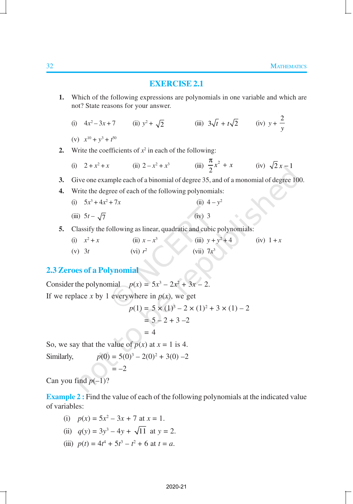# **EXERCISE 2.1**

- **1.** Which of the following expressions are polynomials in one variable and which are not? State reasons for your answer.
	- (i)  $4x^2$  $-3x+7$  (ii)  $y^2 + \sqrt{2}$  (iii)  $3\sqrt{t} + t\sqrt{2}$  (iv)  $y + \frac{2}{y}$ *y*
	- (v)  $x^{10} + y^3 + t^{50}$
- 2. Write the coefficients of  $x^2$  in each of the following:

(i) 
$$
2 + x^2 + x
$$
 (ii)  $2 - x^2 + x^3$  (iii)  $\frac{\pi}{2}x^2 + x$  (iv)  $\sqrt{2}x - 1$ 

- **3.** Give one example each of a binomial of degree 35, and of a monomial of degree 100.
- **4.** Write the degree of each of the following polynomials:
	- (i)  $5x^3 + 4x^2$ + 7*x* (ii)  $4 - y^2$ (iii)  $5t - \sqrt{7}$  (iv) 3
- **5.** Classify the following as linear, quadratic and cubic polynomials:
	- $(i)$   $x^2$ + *x* (ii)  $x - x^3$ (iii)  $y + y^2$  $(iv) 1 + x$  $(v) 3t$ (vi)  $r^2$ (vii) 7*x* 3

# **2.3 Zeroes of a Polynomial**

Consider the polynomial  $p(x) = 5x^3 - 2x^2 + 3x - 2$ . If we replace *x* by 1 everywhere in  $p(x)$ , we get  $p(1) = 5 \times (1)^3 - 2 \times (1)^2 + 3 \times (1) - 2$ 

$$
= 5 - 2 + 3 - 2
$$
  
= 4

So, we say that the value of  $p(x)$  at  $x = 1$  is 4.

Similarly,  $p(0) = 5(0)^3 - 2(0)^2 + 3(0) - 2$ 

$$
\bigcirc = -2
$$

Can you find  $p(-1)$ ?

**Example 2:** Find the value of each of the following polynomials at the indicated value of variables:

- (i)  $p(x) = 5x^2 3x + 7$  at  $x = 1$ .
- (ii)  $q(y) = 3y^3 4y + \sqrt{11}$  at  $y = 2$ .
- (iii)  $p(t) = 4t^4 + 5t^3 t^2 + 6$  at  $t = a$ .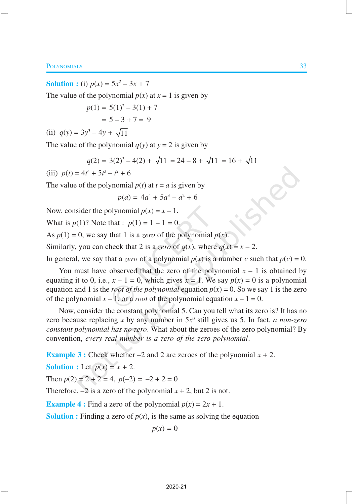The value of the polynomial  $p(x)$  at  $x = 1$  is given by

$$
p(1) = 5(1)^{2} - 3(1) + 7
$$
  
= 5 - 3 + 7 = 9

(ii)  $q(y) = 3y^3 - 4y + \sqrt{11}$ 

**Solution :** (i)  $p(x) = 5x^2 - 3x + 7$ 

The value of the polynomial  $q(y)$  at  $y = 2$  is given by

$$
q(2) = 3(2)^3 - 4(2) + \sqrt{11} = 24 - 8 + \sqrt{11} = 16 + \sqrt{11}
$$

(iii) 
$$
p(t) = 4t^4 + 5t^3 - t^2 + 6
$$

The value of the polynomial  $p(t)$  at  $t = a$  is given by

$$
p(a) = 4a^4 + 5a^3 - a^2 + 6
$$

Now, consider the polynomial  $p(x) = x - 1$ .

What is  $p(1)$ ? Note that :  $p(1) = 1 - 1 = 0$ .

As  $p(1) = 0$ , we say that 1 is a *zero* of the polynomial  $p(x)$ .

Similarly, you can check that 2 is a *zero* of  $q(x)$ , where  $q(x) = x - 2$ .

In general, we say that a *zero* of a polynomial  $p(x)$  is a number *c* such that  $p(c) = 0$ .

You must have observed that the zero of the polynomial  $x - 1$  is obtained by equating it to 0, i.e.,  $x - 1 = 0$ , which gives  $x = 1$ . We say  $p(x) = 0$  is a polynomial equation and 1 is the *root of the polynomial* equation  $p(x) = 0$ . So we say 1 is the zero of the polynomial  $x - 1$ , or a *root* of the polynomial equation  $x - 1 = 0$ .

Now, consider the constant polynomial 5. Can you tell what its zero is? It has no zero because replacing x by any number in  $5x^0$  still gives us 5. In fact, *a non-zero constant polynomial has no zero*. What about the zeroes of the zero polynomial? By convention, *every real number is a zero of the zero polynomial*.

**Example 3 :** Check whether  $-2$  and 2 are zeroes of the polynomial  $x + 2$ .

**Solution :** Let  $p(x) = x + 2$ .

Then  $p(2) = 2 + 2 = 4$ ,  $p(-2) = -2 + 2 = 0$ 

Therefore,  $-2$  is a zero of the polynomial  $x + 2$ , but 2 is not.

**Example 4 :** Find a zero of the polynomial  $p(x) = 2x + 1$ .

**Solution :** Finding a zero of  $p(x)$ , is the same as solving the equation

 $p(x) = 0$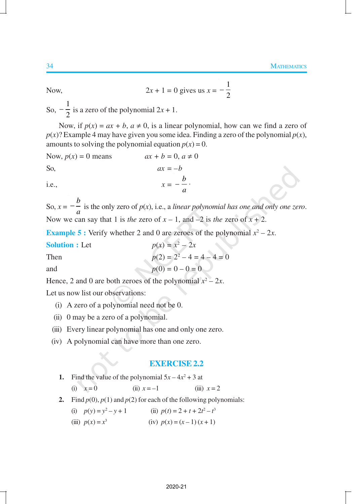Now, 
$$
2x + 1 = 0
$$
 gives us  $x = -\frac{1}{2}$ 

So,  $-\frac{1}{2}$  $\frac{1}{2}$  is a zero of the polynomial  $2x + 1$ .

Now, if  $p(x) = ax + b$ ,  $a \ne 0$ , is a linear polynomial, how can we find a zero of  $p(x)$ ? Example 4 may have given you some idea. Finding a zero of the polynomial  $p(x)$ , amounts to solving the polynomial equation  $p(x) = 0$ .

Now, 
$$
p(x) = 0
$$
 means  $ax + b = 0, a \neq 0$   
So,  $ax = -b$   
i.e.,  $x = -\frac{b}{a}$ .

So,  $x =$ *b*  $-\frac{b}{a}$  is the only zero of *p*(*x*), i.e., a *linear polynomial has one and only one zero.* Now we can say that 1 is *the* zero of  $x - 1$ , and  $-2$  is *the* zero of  $x + 2$ .

**Example 5 :** Verify whether 2 and 0 are zeroes of the polynomial  $x^2 - 2x$ .

 $Solution: Let$  $x^2 - 2x$ Then  $p(2) = 2^2 - 4 = 4 - 4 = 0$ and  $p(0) = 0 - 0 = 0$ 

Hence, 2 and 0 are both zeroes of the polynomial  $x^2 - 2x$ .

Let us now list our observations:

- (i) A zero of a polynomial need not be 0.
- (ii) 0 may be a zero of a polynomial.
- (iii) Every linear polynomial has one and only one zero.
- (iv) A polynomial can have more than one zero.

## **EXERCISE 2.2**

\n- 1. Find the value of the polynomial 
$$
5x - 4x^2 + 3
$$
 at
\n- (i)  $x = 0$
\n- (ii)  $x = -1$
\n- (iii)  $x = 2$
\n
\n2. Find *p*(0), *p*(1) and *p*(2) for each of the following polynomials:

- (i)  $p(y) = y^2 y + 1$  (ii)  $p(t) = 2 + t + 2t^2 t^3$
- (iii)  $p(x) = x^3$ (iv)  $p(x) = (x-1)(x+1)$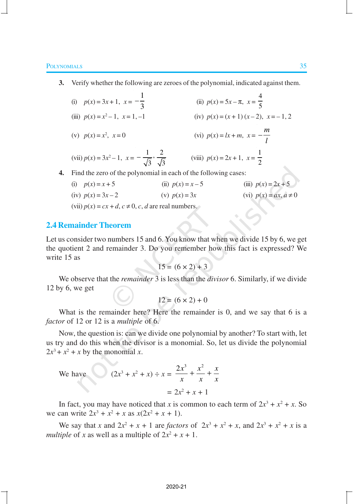- **3.** Verify whether the following are zeroes of the polynomial, indicated against them.
	- (i)  $p(x) = 3x + 1, x =$  $-\frac{1}{2}$ 3 (ii)  $p(x) = 5x - \pi$ ,  $x = \frac{4}{5}$ 5 (iv)  $p(x) = (x + 1)(x - 2), x = -1, 2$
	- (iii)  $p(x) = x^2$
	- (v)  $p(x) = x^2$  $y(x) = k + m, \quad x = -\frac{m}{l}$

(vii)  $p(x) = 3x^2 - 1$ ,  $x = -\frac{1}{\sqrt{2}}, \frac{2}{\sqrt{2}}$  $-\frac{1}{\sqrt{3}}, \frac{2}{\sqrt{3}}$  (viii)  $p(x) = 2x + 1, x = \frac{1}{2}$ 

**4.** Find the zero of the polynomial in each of the following cases:

| (i) $p(x) = x + 5$                                     | (ii) $p(x) = x-5$ | (iii) $p(x) = 2x + 5$      |
|--------------------------------------------------------|-------------------|----------------------------|
| (iv) $p(x) = 3x - 2$                                   | (v) $p(x) = 3x$   | (vi) $p(x) = ax, a \neq 0$ |
| (vii) $p(x) = cx + d, c \ne 0, c, d$ are real numbers. |                   |                            |

# **2.4 Remainder Theorem**

Let us consider two numbers 15 and 6. You know that when we divide 15 by 6, we get the quotient 2 and remainder 3. Do you remember how this fact is expressed? We write 15 as

$$
15 = (6 \times 2) + 3
$$

We observe that the *remainder* 3 is less than the *divisor* 6. Similarly, if we divide 12 by 6, we get

 $12 = (6 \times 2) + 0$ 

What is the remainder here? Here the remainder is 0, and we say that 6 is a *factor* of 12 or 12 is a *multiple* of 6.

Now, the question is: can we divide one polynomial by another? To start with, let us try and do this when the divisor is a monomial. So, let us divide the polynomial  $2x^3 + x^2 + x$  by the monomial *x*.

We have 
$$
(2x^3 + x^2 + x) \div x = \frac{2x^3}{x} + \frac{x^2}{x} + \frac{x}{x}
$$
  
=  $2x^2 + x + 1$ 

In fact, you may have noticed that *x* is common to each term of  $2x^3 + x^2 + x$ . So we can write  $2x^3 + x^2 + x$  as  $x(2x^2 + x + 1)$ .

We say that *x* and  $2x^2 + x + 1$  are *factors* of  $2x^3 + x^2 + x$ , and  $2x^3 + x^2 + x$  is a *multiple* of *x* as well as a multiple of  $2x^2 + x + 1$ .

*l*

2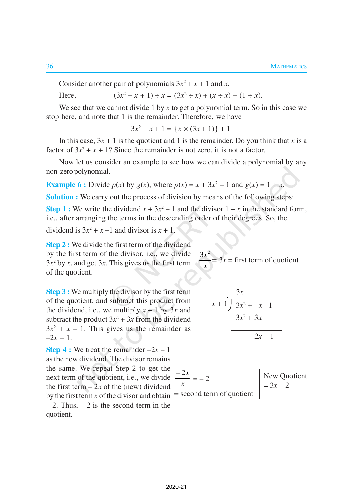Consider another pair of polynomials  $3x^2 + x + 1$  and *x*.

Here,  $(x^{2} + x + 1) \div x = (3x^{2} \div x) + (x \div x) + (1 \div x).$ 

We see that we cannot divide 1 by  $x$  to get a polynomial term. So in this case we stop here, and note that 1 is the remainder. Therefore, we have

 $3x^2 + x + 1 = \{x \times (3x + 1)\} + 1$ 

In this case,  $3x + 1$  is the quotient and 1 is the remainder. Do you think that *x* is a factor of  $3x^2 + x + 1$ ? Since the remainder is not zero, it is not a factor.

Now let us consider an example to see how we can divide a polynomial by any non-zero polynomial.

**Example 6 :** Divide  $p(x)$  by  $g(x)$ , where  $p(x) = x + 3x^2 - 1$  and  $g(x) = 1 + x$ .

**Solution :** We carry out the process of division by means of the following steps:

**Step 1 :** We write the dividend  $x + 3x^2 - 1$  and the divisor  $1 + x$  in the standard form, i.e., after arranging the terms in the descending order of their degrees. So, the

> $3x^2$ *x*

dividend is  $3x^2 + x - 1$  and divisor is  $x + 1$ .

**Step 2 :** We divide the first term of the dividend by the first term of the divisor, i.e., we divide  $3x<sup>2</sup>$  by *x*, and get 3*x*. This gives us the first term of the quotient.

**Step 3 :** We multiply the divisor by the first term of the quotient, and subtract this product from the dividend, i.e., we multiply  $x + 1$  by 3x and subtract the product  $3x^2 + 3x$  from the dividend  $3x^2 + x - 1$ . This gives us the remainder as  $-2x - 1$ .

**Step 4 :** We treat the remainder  $-2x - 1$ as the new dividend. The divisor remains the same. We repeat Step 2 to get the next term of the quotient, i.e., we divide the first term  $-2x$  of the (new) dividend by the first term *x* of the divisor and obtain  $=$  $-2$ . Thus,  $-2$  is the second term in the quotient.

$$
\begin{array}{r}3x\\x+1{\overline{\smash{\big)}\ 3x^2 + x - 1}}\\ \underline{3x^2 + 3x}\\ \underline{-\phantom{-2x^2 + 3x}}\\ -2x-1\end{array}
$$

 $= 3x =$  first term of quotient

$$
\frac{-2x}{x} = -2
$$
\n= second term of quotient\n
$$
\begin{cases}\n\text{New Quotient} \\
= 3x - 2\n\end{cases}
$$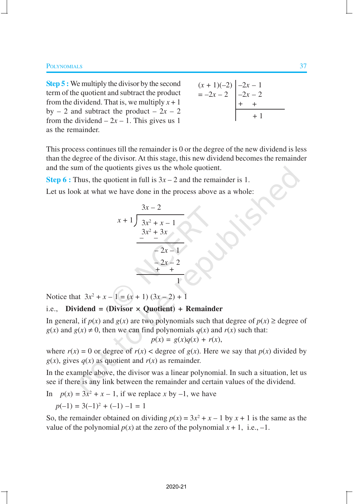**Step 5 :** We multiply the divisor by the second term of the quotient and subtract the product from the dividend. That is, we multiply  $x + 1$ by  $-2$  and subtract the product  $-2x - 2$ from the dividend  $-2x - 1$ . This gives us 1 as the remainder.

| $(x + 1)(-2)$ $\begin{vmatrix} -2x - 1 \\ -2x - 2 \end{vmatrix}$<br>= -2x - 2 |  |
|-------------------------------------------------------------------------------|--|
|                                                                               |  |
|                                                                               |  |

This process continues till the remainder is 0 or the degree of the new dividend is less than the degree of the divisor. At this stage, this new dividend becomes the remainder and the sum of the quotients gives us the whole quotient.

**Step 6 :** Thus, the quotient in full is  $3x - 2$  and the remainder is 1.

Let us look at what we have done in the process above as a whole:

$$
\begin{array}{r}3x-2 \\
x+1 \overline{\smash)3x^2 + x - 1} \\
3x^2 + 3x \\
\underline{-2x - 1} \\
-2x - 2 \\
\underline{+2x - 2} \\
1\n\end{array}
$$

Notice that  $3x^2 + x - 1 = (x + 1) (3x - 2) + 1$ 

# i.e., **Dividend = (Divisor × Quotient) + Remainder**

In general, if  $p(x)$  and  $g(x)$  are two polynomials such that degree of  $p(x) \geq$  degree of  $g(x)$  and  $g(x) \neq 0$ , then we can find polynomials  $g(x)$  and  $r(x)$  such that:

$$
p(x) = g(x)q(x) + r(x),
$$

where  $r(x) = 0$  or degree of  $r(x) <$  degree of  $g(x)$ . Here we say that  $p(x)$  divided by  $g(x)$ , gives  $q(x)$  as quotient and  $r(x)$  as remainder.

In the example above, the divisor was a linear polynomial. In such a situation, let us see if there is any link between the remainder and certain values of the dividend.

In  $p(x) = 3x^2 + x - 1$ , if we replace *x* by -1, we have

$$
p(-1) = 3(-1)^2 + (-1) - 1 = 1
$$

So, the remainder obtained on dividing  $p(x) = 3x^2 + x - 1$  by  $x + 1$  is the same as the value of the polynomial  $p(x)$  at the zero of the polynomial  $x + 1$ , i.e., -1.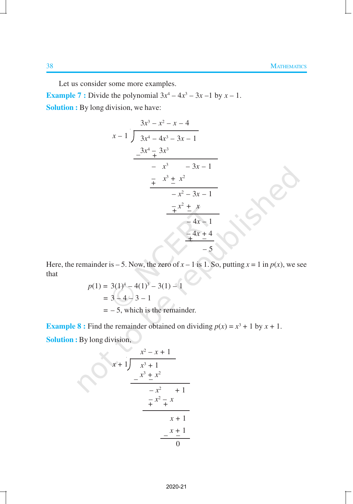Lec

Let us consider some more examples.

**Example 7 :** Divide the polynomial  $3x^4 - 4x^3 - 3x - 1$  by  $x - 1$ . **Solution :** By long division, we have:

$$
\begin{array}{r} 3x^3 - x^2 - x - 4 \\ x - 1 \overline{\smash)3x^4 - 4x^3 - 3x - 1} \\ -3x^4 - 3x^3 \\ \underline{-3x^4 - 3x^3} \\ -x^3 - 3x - 1 \\ \underline{-x^3 - 3x - 1} \\ -x^2 - 3x - 1 \\ \underline{-x^2 + x} \\ -4x - 1 \\ \underline{-4x + 4} \\ -5 \end{array}
$$

Here, the remainder is  $-5$ . Now, the zero of  $x - 1$  is 1. So, putting  $x = 1$  in  $p(x)$ , we see that

$$
p(1) = 3(1)^{4} - 4(1)^{3} - 3(1) - 1
$$
  
= 3 - 4 - 3 - 1  
= -5, which is the remainder.

**Example 8**: Find the remainder obtained on dividing  $p(x) = x^3 + 1$  by  $x + 1$ . **Solution :** By long division,

$$
\begin{array}{r} x^2 - x + 1 \\ x + 1 \overline{\smash) x^3 + 1} \\ -x^3 \underline{+ x^2} \\ -x^2 \underline{+ 1} \\ \underline{+ x^2 \underline{+ x} \\ x + 1} \\ \underline{- x + 1} \\ 0 \end{array}
$$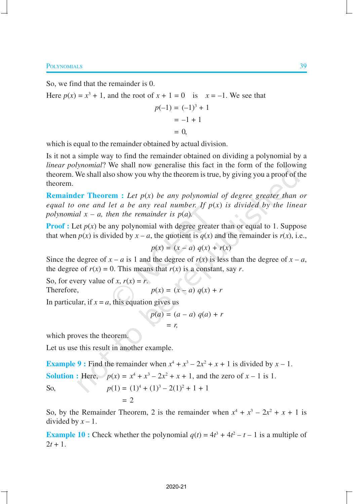So, we find that the remainder is 0.

Here  $p(x) = x^3 + 1$ , and the root of  $x + 1 = 0$  is  $x = -1$ . We see that

$$
p(-1) = (-1)^3 + 1
$$
  
= -1 + 1  
= 0,

which is equal to the remainder obtained by actual division.

Is it not a simple way to find the remainder obtained on dividing a polynomial by a *linear polynomial*? We shall now generalise this fact in the form of the following theorem. We shall also show you why the theorem is true, by giving you a proof of the theorem.

**Remainder Theorem :** *Let p*(*x*) *be any polynomial of degree greater than or equal to one and let a be any real number. If p*(*x*) *is divided by the linear polynomial*  $x - a$ *, then the remainder is p(a).* 

**Proof :** Let  $p(x)$  be any polynomial with degree greater than or equal to 1. Suppose that when  $p(x)$  is divided by  $x - a$ , the quotient is  $q(x)$  and the remainder is  $r(x)$ , i.e.,

$$
p(x) = (x - a) q(x) + r(x)
$$

Since the degree of  $x - a$  is 1 and the degree of  $r(x)$  is less than the degree of  $x - a$ , the degree of  $r(x) = 0$ . This means that  $r(x)$  is a constant, say *r*.

So, for every value of *x*,  $r(x) = r$ .

$$
p(x) = (x - a) q(x) +
$$

In particular, if  $x = a$ , this equation gives us

$$
p(a) = (a - a) q(a) + r
$$

$$
= r,
$$

which proves the theorem.

 $Therefore,$ 

Let us use this result in another example.

**Example 9**: Find the remainder when  $x^4 + x^3 - 2x^2 + x + 1$  is divided by  $x - 1$ . **Solution :** Here,  $p(x) = x^4 + x^3 - 2x^2 + x + 1$ , and the zero of  $x - 1$  is 1. So,  $p(1) = (1)^4 + (1)^3 - 2(1)^2 + 1 + 1$  $= 2$ 

So, by the Remainder Theorem, 2 is the remainder when  $x^4 + x^3 - 2x^2 + x + 1$  is divided by  $x - 1$ .

**Example 10 :** Check whether the polynomial  $q(t) = 4t^3 + 4t^2 - t - 1$  is a multiple of  $2t + 1$ .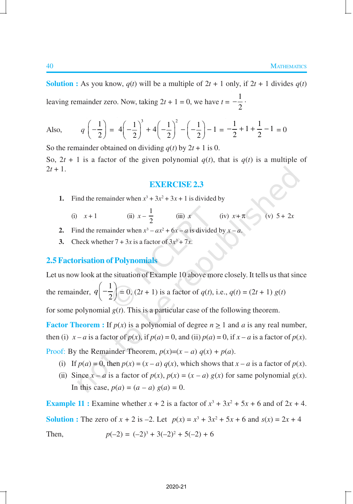**Solution :** As you know,  $q(t)$  will be a multiple of  $2t + 1$  only, if  $2t + 1$  divides  $q(t)$ leaving remainder zero. Now, taking  $2t + 1 = 0$ , we have  $t = -\frac{1}{2}$ 2 .

Also, 
$$
q\left(-\frac{1}{2}\right) = 4\left(-\frac{1}{2}\right)^3 + 4\left(-\frac{1}{2}\right)^2 - \left(-\frac{1}{2}\right) - 1 = -\frac{1}{2} + 1 + \frac{1}{2} - 1 = 0
$$

So the remainder obtained on dividing  $q(t)$  by  $2t + 1$  is 0. So,  $2t + 1$  is a factor of the given polynomial  $q(t)$ , that is  $q(t)$  is a multiple of  $2t + 1$ .

#### **EXERCISE 2.3**

- **1.** Find the remainder when  $x^3 + 3x^2 + 3x + 1$  is divided by
	- (i)  $x + 1$  (ii)  $x \frac{1}{2}$ 2 (iii) *x* (iv)  $x + \pi$  (v)  $5 + 2x$
- **2.** Find the remainder when  $x^3 ax^2 + 6x a$  is divided by  $x a$ .
- **3.** Check whether  $7 + 3x$  is a factor of  $3x^3 + 7x$ .

## **2.5 Factorisation of Polynomials**

Let us now look at the situation of Example 10 above more closely. It tells us that since the remainder, 1 2  $q\left(-\frac{1}{2}\right) = 0$ ,  $(2t + 1)$  is a factor of  $q(t)$ , i.e.,  $q(t) = (2t + 1) g(t)$ 

for some polynomial  $g(t)$ . This is a particular case of the following theorem.

**Factor Theorem :** If  $p(x)$  is a polynomial of degree  $n \ge 1$  and *a* is any real number, then (i)  $x - a$  is a factor of  $p(x)$ , if  $p(a) = 0$ , and (ii)  $p(a) = 0$ , if  $x - a$  is a factor of  $p(x)$ .

Proof: By the Remainder Theorem,  $p(x)=(x-a) q(x) + p(a)$ .

- (i) If  $p(a) = 0$ , then  $p(x) = (x a) q(x)$ , which shows that  $x a$  is a factor of  $p(x)$ .
- (ii) Since  $x a$  is a factor of  $p(x)$ ,  $p(x) = (x a) g(x)$  for same polynomial  $g(x)$ . In this case,  $p(a) = (a - a) g(a) = 0$ .

**Example 11 :** Examine whether  $x + 2$  is a factor of  $x^3 + 3x^2 + 5x + 6$  and of  $2x + 4$ . **Solution :** The zero of  $x + 2$  is  $-2$ . Let  $p(x) = x^3 + 3x^2 + 5x + 6$  and  $s(x) = 2x + 4$ Then,  $p(-2) = (-2)^3 + 3(-2)^2 + 5(-2) + 6$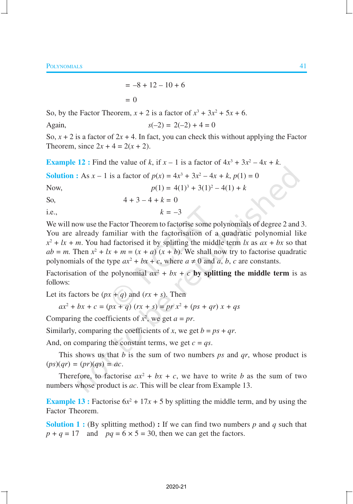$$
= -8 + 12 - 10 + 6
$$
  
= 0

So, by the Factor Theorem,  $x + 2$  is a factor of  $x^3 + 3x^2 + 5x + 6$ .

Again,  $s(-2) = 2(-2) + 4 = 0$ 

So,  $x + 2$  is a factor of  $2x + 4$ . In fact, you can check this without applying the Factor Theorem, since  $2x + 4 = 2(x + 2)$ .

**Example 12**: Find the value of *k*, if  $x - 1$  is a factor of  $4x^3 + 3x^2 - 4x + k$ .

**Solution :** As  $x - 1$  is a factor of  $p(x) = 4x^3 + 3x^2 - 4x + k$ ,  $p(1) = 0$ 

Now,  $p(1) = 4(1)^3 + 3(1)^2 - 4(1) + k$ 

So,  $4 + 3 - 4 + k = 0$ 

i.e.,  $k = -3$ 

We will now use the Factor Theorem to factorise some polynomials of degree 2 and 3. You are already familiar with the factorisation of a quadratic polynomial like  $x^2 + lx + m$ . You had factorised it by splitting the middle term *lx* as  $ax + bx$  so that  $ab = m$ . Then  $x^2 + lx + m = (x + a)(x + b)$ . We shall now try to factorise quadratic polynomials of the type  $ax^2 + bx + c$ , where  $a \neq 0$  and  $a, b, c$  are constants.

Factorisation of the polynomial  $ax^2 + bx + c$  by splitting the middle term is as follows:

Let its factors be  $(px + q)$  and  $(rx + s)$ . Then

$$
ax^{2} + bx + c = (px + q) (rx + s) = pr x^{2} + (ps + qr) x + qs
$$

Comparing the coefficients of  $x^2$ , we get  $a = pr$ .

Similarly, comparing the coefficients of *x*, we get  $b = ps + qr$ .

And, on comparing the constant terms, we get  $c = qs$ .

This shows us that *b* is the sum of two numbers *ps* and *qr*, whose product is  $(ps)(qr) = (pr)(qs) = ac.$ 

Therefore, to factorise  $ax^2 + bx + c$ , we have to write *b* as the sum of two numbers whose product is *ac*. This will be clear from Example 13.

**Example 13 :** Factorise  $6x^2 + 17x + 5$  by splitting the middle term, and by using the Factor Theorem.

**Solution 1 :** (By splitting method) **:** If we can find two numbers  $p$  and  $q$  such that  $p + q = 17$  and  $pq = 6 \times 5 = 30$ , then we can get the factors.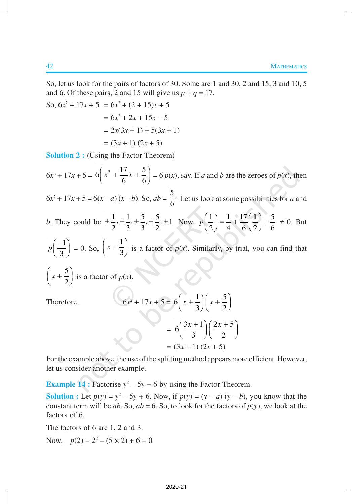So, let us look for the pairs of factors of 30. Some are 1 and 30, 2 and 15, 3 and 10, 5 and 6. Of these pairs, 2 and 15 will give us  $p + q = 17$ .

So, 
$$
6x^2 + 17x + 5 = 6x^2 + (2 + 15)x + 5
$$
  
=  $6x^2 + 2x + 15x + 5$   
=  $2x(3x + 1) + 5(3x + 1)$   
=  $(3x + 1) (2x + 5)$ 

**Solution 2 :** (Using the Factor Theorem)

 $6x^2 + 17x + 5 = 6\left(x^2 + \frac{17}{6}x + \frac{5}{6}\right)$  $\left(x^2 + \frac{17}{6}x + \frac{5}{6}\right) = 6$  *p*(*x*), say. If *a* and *b* are the zeroes of *p*(*x*), then  $6x^2 + 17x + 5 = 6(x - a)(x - b)$ . So,  $ab =$  $\frac{5}{1}$ .  $\frac{1}{6}$ . Let us look at some possibilities for *a* and *b*. They could be  $\pm \frac{1}{2}, \pm \frac{1}{2}, \pm \frac{5}{2}, \pm \frac{5}{2}, \pm 1$ 2 3 3 2  $\pm \frac{1}{2}, \pm \frac{1}{2}, \pm \frac{5}{2}, \pm \frac{5}{2}, \pm 1$ . Now,  $p\left(\frac{1}{2}\right) = \frac{1}{2} + \frac{17}{2} \left(\frac{1}{2}\right) + \frac{5}{2}$ 2) 4 6 (2) 6  $p\left(\frac{1}{2}\right) = \frac{1}{4} + \frac{17}{6}\left(\frac{1}{2}\right) + \frac{5}{6} \neq 0$ . But 1 3  $p\left(\frac{-1}{2}\right)$  $\left(\frac{-}{3}\right) = 0$ . So, 1 3  $\left(x+\frac{1}{3}\right)$  is a factor of *p*(*x*). Similarly, by trial, you can find that 5 2  $\left(x + \frac{5}{2}\right)$  is a factor of *p*(*x*). Therefore, 2  $1 \mid \cdot \mid$  5

$$
+ 17x + 5 = 6\left(x + \frac{1}{3}\right)\left(x + \frac{5}{2}\right)
$$

$$
= 6\left(\frac{3x + 1}{3}\right)\left(\frac{2x + 5}{2}\right)
$$

$$
= (3x + 1)(2x + 5)
$$

For the example above, the use of the splitting method appears more efficient. However, let us consider another example.

**Example 14 :** Factorise  $y^2 - 5y + 6$  by using the Factor Theorem.

**Solution :** Let  $p(y) = y^2 - 5y + 6$ . Now, if  $p(y) = (y - a)(y - b)$ , you know that the constant term will be *ab*. So,  $ab = 6$ . So, to look for the factors of  $p(y)$ , we look at the factors of 6.

The factors of 6 are 1, 2 and 3.

Now,  $p(2) = 2^2 - (5 \times 2) + 6 = 0$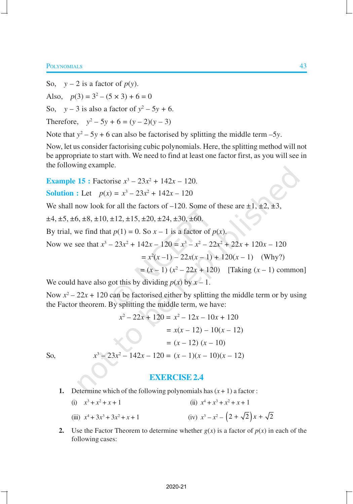So,  $y - 2$  is a factor of  $p(y)$ . Also,  $p(3) = 3^2 - (5 \times 3) + 6 = 0$ So,  $y - 3$  is also a factor of  $y^2 - 5y + 6$ . Therefore,  $y^2 - 5y + 6 = (y - 2)(y - 3)$ 

Note that  $y^2 - 5y + 6$  can also be factorised by splitting the middle term  $-5y$ .

Now, let us consider factorising cubic polynomials. Here, the splitting method will not be appropriate to start with. We need to find at least one factor first, as you will see in the following example.

**Example 15 :** Factorise  $x^3 - 23x^2 + 142x - 120$ .

**Solution :** Let 
$$
p(x) = x^3 - 23x^2 + 142x - 120
$$

We shall now look for all the factors of  $-120$ . Some of these are  $\pm 1, \pm 2, \pm 3$ ,

 $\pm 4, \pm 5, \pm 6, \pm 8, \pm 10, \pm 12, \pm 15, \pm 20, \pm 24, \pm 30, \pm 60.$ 

By trial, we find that  $p(1) = 0$ . So  $x - 1$  is a factor of  $p(x)$ .

Now we see that 
$$
x^3 - 23x^2 + 142x - 120 = x^3 - x^2 - 22x^2 + 22x + 120x - 120
$$

$$
= x2(x-1) - 22x(x-1) + 120(x - 1)
$$
 (Why?)

$$
= (x - 1) (x2 – 22x + 120) [Taking (x – 1) common]
$$

We could have also got this by dividing  $p(x)$  by  $x - 1$ .

Now  $x^2 - 22x + 120$  can be factorised either by splitting the middle term or by using the Factor theorem. By splitting the middle term, we have:

$$
x^{2}-22x + 120 = x^{2} - 12x - 10x + 120
$$

$$
= x(x - 12) - 10(x - 12)
$$

$$
= (x - 12) (x - 10)
$$

$$
x^{3} - 23x^{2} - 142x - 120 = (x - 1)(x - 10)(x - 12)
$$

So, *x*

## **EXERCISE 2.4**

- **1.** Determine which of the following polynomials has  $(x + 1)$  a factor:
	- (i)  $x^3 + x^2 + x + 1$  (ii) *x*  $x^4 + x^3 + x^2 + x + 1$  $(iii)$   $x^4 + 3x^3 + 3x^2$  $+x+1$  (iv)  $x^3 - x^2 - (2 + \sqrt{2})x + \sqrt{2}$
- **2.** Use the Factor Theorem to determine whether  $g(x)$  is a factor of  $p(x)$  in each of the following cases: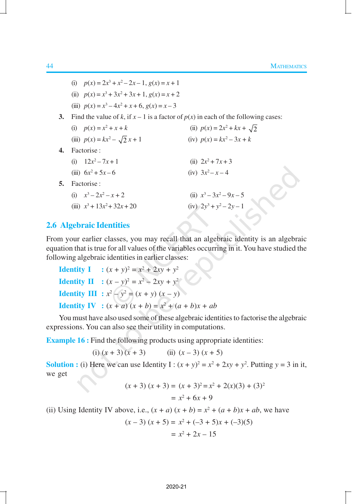|    | (i) $p(x) = 2x^3 + x^2 - 2x - 1$ , $g(x) = x + 1$                                     |                                    |  |
|----|---------------------------------------------------------------------------------------|------------------------------------|--|
|    | (ii) $p(x) = x^3 + 3x^2 + 3x + 1$ , $g(x) = x + 2$                                    |                                    |  |
|    | (iii) $p(x) = x^3 - 4x^2 + x + 6$ , $g(x) = x - 3$                                    |                                    |  |
| 3. | Find the value of k, if $x - 1$ is a factor of $p(x)$ in each of the following cases: |                                    |  |
|    | (i) $p(x) = x^2 + x + k$                                                              | (ii) $p(x) = 2x^2 + kx + \sqrt{2}$ |  |
|    | (iii) $p(x) = kx^2 - \sqrt{2}x + 1$                                                   | (iv) $p(x) = kx^2 - 3x + k$        |  |
|    | 4. Factorise:                                                                         |                                    |  |
|    | (i) $12x^2 - 7x + 1$                                                                  | (ii) $2x^2 + 7x + 3$               |  |
|    | (iii) $6x^2 + 5x - 6$                                                                 | (iv) $3x^2 - x - 4$                |  |
| 5. | Factorise :                                                                           |                                    |  |
|    | (i) $x^3-2x^2-x+2$                                                                    | (ii) $x^3 - 3x^2 - 9x - 5$         |  |
|    | (iii) $x^3 + 13x^2 + 32x + 20$                                                        | $(iv)$ $2y^3 + y^2 - 2y - 1$       |  |
|    |                                                                                       |                                    |  |

# **2.6 Algebraic Identities**

From your earlier classes, you may recall that an algebraic identity is an algebraic equation that is true for all values of the variables occurring in it. You have studied the following algebraic identities in earlier classes:

**Identity I** :  $(x + y)^2 = x^2 + 2xy + y^2$ **Identity II** :  $(x - y)^2 = x^2 - 2xy + y^2$ **Identity III** :  $x^2 - y^2 = (x + y)(x - y)$ **Identity IV** :  $(x + a)(x + b) = x^2 + (a + b)x + ab$ 

You must have also used some of these algebraic identities to factorise the algebraic expressions. You can also see their utility in computations.

**Example 16 :** Find the following products using appropriate identities:

(i)  $(x + 3)(x + 3)$  (ii)  $(x - 3)(x + 5)$ 

**Solution :** (i) Here we can use Identity I :  $(x + y)^2 = x^2 + 2xy + y^2$ . Putting  $y = 3$  in it, we get

$$
(x + 3) (x + 3) = (x + 3)2 = x2 + 2(x)(3) + (3)2
$$
  
= x<sup>2</sup> + 6x + 9

(ii) Using Identity IV above, i.e.,  $(x + a) (x + b) = x^2 + (a + b)x + ab$ , we have

$$
(x-3)(x+5) = x2 + (-3+5)x + (-3)(5)
$$
  
= x<sup>2</sup> + 2x - 15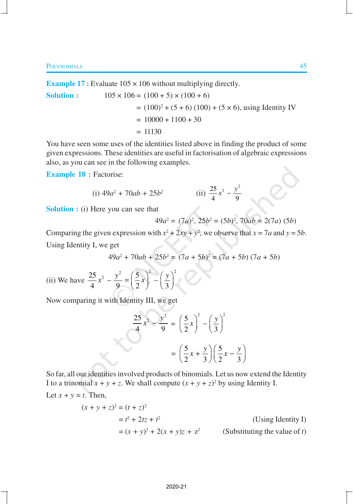**Example 17 :** Evaluate 105  $\times$  106 without multiplying directly.

**Solution :**  $105 \times 106 = (100 + 5) \times (100 + 6)$  $= (100)^2 + (5 + 6) (100) + (5 \times 6)$ , using Identity IV  $= 10000 + 1100 + 30$  $= 11130$ 

You have seen some uses of the identities listed above in finding the product of some given expressions. These identities are useful in factorisation of algebraic expressions also, as you can see in the following examples.

**Example 18 :** Factorise:

(i) 
$$
49a^2 + 70ab + 25b^2
$$
 (ii)  $\frac{25}{4}x^2 - \frac{y^2}{9}$ 

**Solution :** (i) Here you can see that

$$
49a^2 = (7a)^2, 25b^2 = (5b)^2, 70ab = 2(7a) (5b)
$$

2

*y*

Comparing the given expression with  $x^2 + 2xy + y^2$ , we observe that  $x = 7a$  and  $y = 5b$ . Using Identity I, we get

$$
49a2 + 70ab + 25b2 = (7a + 5b)2 = (7a + 5b) (7a + 5b)
$$

(ii) We have 
$$
\frac{25}{4}x^2 - \frac{y^2}{9} = \left(\frac{5}{2}x\right)^2 - \left(\frac{y}{3}\right)^2
$$

Now comparing it with Identity III, we get

$$
\frac{25}{4}x^2 - \frac{y^2}{9} = \left(\frac{5}{2}x\right)^2 - \left(\frac{y}{3}\right)^2
$$

$$
= \left(\frac{5}{2}x + \frac{y}{3}\right)\left(\frac{5}{2}x - \frac{y}{3}\right)
$$

So far, all our identities involved products of binomials. Let us now extend the Identity I to a trinomial  $x + y + z$ . We shall compute  $(x + y + z)^2$  by using Identity I.

Let 
$$
x + y = t
$$
. Then,

$$
(x + y + z)2 = (t + z)2
$$
  
= t<sup>2</sup> + 2tz + t<sup>2</sup>  
= (x + y)<sup>2</sup> + 2(x + y)z + z<sup>2</sup> (Substituting the value of t)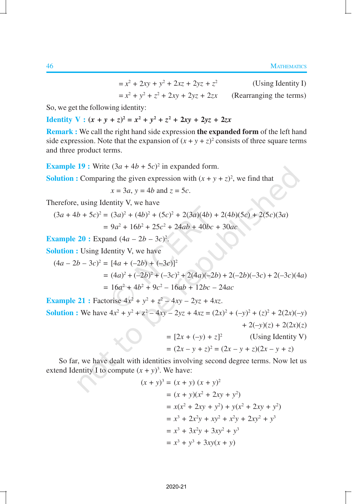$= x^2 + 2xy + y^2 + 2xz + 2yz + z^2$ (Using Identity I)  $= x^2 + y^2 + z^2$ + 2*xy* + 2*yz* + 2*zx* (Rearranging the terms)

So, we get the following identity:

**Identity**  $V : (x + y + z)^2 = x^2 + y^2 + z^2 + 2xy + 2yz + 2zx$ 

**Remark :** We call the right hand side expression **the expanded form** of the left hand side expression. Note that the expansion of  $(x + y + z)^2$  consists of three square terms and three product terms.

**Example 19 :** Write  $(3a + 4b + 5c)^2$  in expanded form.

**Solution :** Comparing the given expression with  $(x + y + z)^2$ , we find that

 $x = 3a$ ,  $y = 4b$  and  $z = 5c$ .

Therefore, using Identity V, we have

$$
(3a + 4b + 5c)^2 = (3a)^2 + (4b)^2 + (5c)^2 + 2(3a)(4b) + 2(4b)(5c) + 2(5c)(3a)
$$
  
= 
$$
9a^2 + 16b^2 + 25c^2 + 24ab + 40bc + 30ac
$$

**Example 20 :** Expand  $(4a - 2b - 3c)^2$ .

**Solution :** Using Identity V, we have

$$
(4a - 2b - 3c)^2 = [4a + (-2b) + (-3c)]^2
$$
  
=  $(4a)^2 + (-2b)^2 + (-3c)^2 + 2(4a)(-2b) + 2(-2b)(-3c) + 2(-3c)(4a)$   
=  $16a^2 + 4b^2 + 9c^2 - 16ab + 12bc - 24ac$ 

**Example 21 :** Factorise  $4x^2 + y^2 + z^2 - 4xy - 2yz + 4xz$ . **Solution :** We have  $4x^2 + y^2 + z^2 - 4xy - 2yz + 4xz = (2x)^2 + (-y)^2 + (z)^2 + 2(2x)(-y)$  $+ 2(-y)(z) + 2(2x)(z)$  $=[2x + (-y) + z]^2$  (Using Identity V)

 $=(2x - y + z)^2 = (2x - y + z)(2x - y + z)$ 

So far, we have dealt with identities involving second degree terms. Now let us extend Identity I to compute  $(x + y)^3$ . We have:

$$
(x + y)3 = (x + y) (x + y)2
$$
  
= (x + y)(x<sup>2</sup> + 2xy + y<sup>2</sup>)  
= x(x<sup>2</sup> + 2xy + y<sup>2</sup>) + y(x<sup>2</sup> + 2xy + y<sup>2</sup>)  
= x<sup>3</sup> + 2x<sup>2</sup>y + xy<sup>2</sup> + x<sup>2</sup>y + 2xy<sup>2</sup> + y<sup>3</sup>  
= x<sup>3</sup> + 3x<sup>2</sup>y + 3xy<sup>2</sup> + y<sup>3</sup>  
= x<sup>3</sup> + y<sup>3</sup> + 3xy(x + y)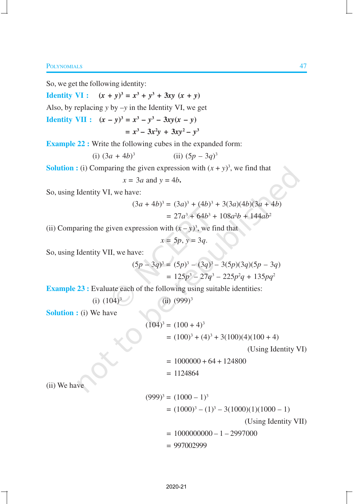So, we get the following identity:

**Identity VI :**  $(x + y)^3 = x^3 + y^3 + 3xy(x + y)$ 

Also, by replacing *y* by –*y* in the Identity VI, we get

**Identity VII :**  $(x - y)^3 = x^3 - y^3 - 3xy(x - y)$  $= x^3 - 3x^2y + 3xy^2 - y^3$ 

**Example 22 :** Write the following cubes in the expanded form:

(i) 
$$
(3a + 4b)^3
$$
 (ii)  $(5p - 3q)^3$ 

**Solution :** (i) Comparing the given expression with  $(x + y)^3$ , we find that

$$
x = 3a
$$
 and  $y = 4b$ .

So, using Identity VI, we have:

$$
(3a + 4b)3 = (3a)3 + (4b)3 + 3(3a)(4b)(3a + 4b)
$$
  
= 27a<sup>3</sup> + 64b<sup>3</sup> + 108a<sup>2</sup>b + 144ab<sup>2</sup>

(ii) Comparing the given expression with  $(x - y)^3$ , we find that

$$
x=5p, y=3q.
$$

So, using Identity VII, we have:

$$
(5p - 3q)^3 = (5p)^3 - (3q)^3 - 3(5p)(3q)(5p - 3q)
$$
  
= 125p<sup>3</sup> - 27q<sup>3</sup> - 225p<sup>2</sup>q + 135pq<sup>2</sup>

**Example 23 :** Evaluate each of the following using suitable identities:

(i)  $(104)^3$ (ii)  $(999)^3$ 

**Solution :** (i) We have

$$
(104)3 = (100 + 4)3
$$
  
= (100)<sup>3</sup> + (4)<sup>3</sup> + 3(100)(4)(100 + 4)

(Using Identity VI)

 $= 1000000 + 64 + 124800$ 

 $= 1124864$ 

(ii) We have

$$
(999)3 = (1000 - 1)3
$$
  
= (1000)<sup>3</sup> - (1)<sup>3</sup> - 3(1000)(1)(1000 - 1)  
(Using Identity VII)  
= 1000000000 - 1 - 2997000  
= 997002999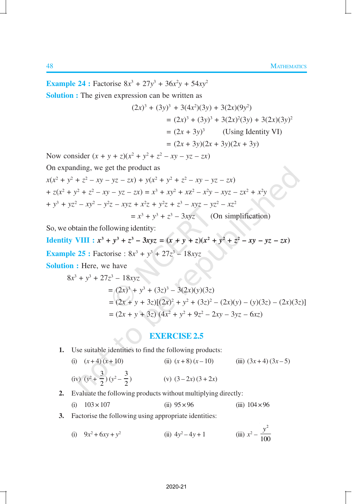**Example 24 :** Factorise  $8x^3 + 27y^3 + 36x^2y + 54xy^2$ 

**Solution :** The given expression can be written as

$$
(2x)3 + (3y)3 + 3(4x2)(3y) + 3(2x)(9y2)
$$
  
= (2x)<sup>3</sup> + (3y)<sup>3</sup> + 3(2x)<sup>2</sup>(3y) + 3(2x)(3y)<sup>2</sup>  
= (2x + 3y)<sup>3</sup> (Using Identity VI)  
= (2x + 3y)(2x + 3y)(2x + 3y)

Now consider  $(x + y + z)(x^2 + y^2 + z^2 - xy - yz - zx)$ 

On expanding, we get the product as

$$
x(x^{2} + y^{2} + z^{2} - xy - yz - zx) + y(x^{2} + y^{2} + z^{2} - xy - yz - zx)
$$
  
+ 
$$
z(x^{2} + y^{2} + z^{2} - xy - yz - zx) = x^{3} + xy^{2} + xz^{2} - x^{2}y - xyz - zx^{2} + x^{2}y
$$
  
+ 
$$
y^{3} + yz^{2} - xy^{2} - y^{2}z - xyz + x^{2}z + y^{2}z + z^{3} - xyz - yz^{2} - xz^{2}
$$
  
= 
$$
x^{3} + y^{3} + z^{3} - 3xyz
$$
 (On simplification)

So, we obtain the following identity:

**Identity VIII** :  $x^3 + y^3 + z^3 - 3xyz = (x + y + z)(x^2 + y^2 + z^2 - xy - yz - zx)$ **Example 25 :** Factorise :  $8x^3 + y^3 + 27z^3 - 18xyz$ 

**Solution :** Here, we have

$$
8x3 + y3 + 27z3 - 18xyz
$$
  
= (2x)<sup>3</sup> + y<sup>3</sup> + (3z)<sup>3</sup> - 3(2x)(y)(3z)  
= (2x + y + 3z)[(2x)<sup>2</sup> + y<sup>2</sup> + (3z)<sup>2</sup> - (2x)(y) - (y)(3z) - (2x)(3z)]  
= (2x + y + 3z) (4x<sup>2</sup> + y<sup>2</sup> + 9z<sup>2</sup> - 2xy - 3yz - 6xz)

# **EXERCISE 2.5**

- **1.** Use suitable identities to find the following products:
	- (i)  $(x+4)(x+10)$  (ii)  $(x+8)(x-10)$  (iii)  $(3x+4)(3x-5)$ (iv)  $(y^2 + \frac{3}{2})$  $\frac{3}{2}$ )  $(y^2 - \frac{3}{2})$ 2 (v)  $(3-2x)(3+2x)$
- **2.** Evaluate the following products without multiplying directly:
	- (i)  $103 \times 107$  (ii)  $95 \times 96$  (iii)  $104 \times 96$
- **3.** Factorise the following using appropriate identities:

(i) 
$$
9x^2 + 6xy + y^2
$$
  
(ii)  $4y^2 - 4y + 1$   
(iii)  $x^2 - \frac{y^2}{100}$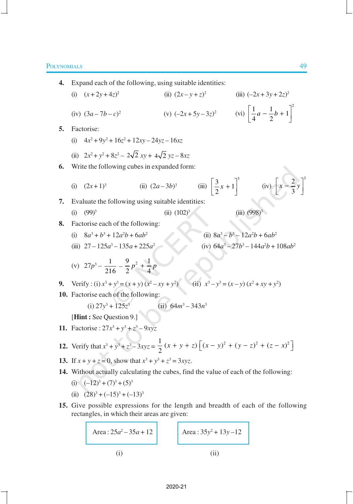4. Expand each of the following, using suitable identities:  
\n(i) 
$$
(x+2y+4z)^2
$$
 (ii)  $(2x-y+z)^2$  (iii)  $(-2x+3y+2z)^2$   
\n(iv)  $(3a-7b-c)^2$  (v)  $(-2x+5y-3z)^2$  (vi)  $\left[\frac{1}{4}a-\frac{1}{2}b+1\right]^2$   
\n5. Factorise:  
\n(i)  $4x^2+9y^2+16z^2+12xy-24yz-16xz$   
\n(ii)  $2x^2+y^2+8z^2-2\sqrt{2}xy+4\sqrt{2}yz-8xz$   
\n6. Write the following cubes in expanded form:  
\n(i)  $(2x+1)^3$  (ii)  $(2a-3b)^3$  (iii)  $\left[\frac{3}{2}x+1\right]^3$  (iv)  $\left[x-\frac{2}{3}y\right]^3$   
\n7. Evaluate the following using suitable identities:  
\n(i)  $(99)^3$  (ii)  $(102)^3$  (iii)  $(998)^3$   
\n8. Factorise each of the following:  
\n(i)  $8a^3+b^3+12a^2b+6ab^2$  (ii)  $8a^3-b^3-12a^2b+6ab^2$   
\n(ii)  $27-125a^3-135a+225a^2$  (iv)  $64a^3-27b^3-144a^2b+108ab^2$   
\n(v)  $27p^3-\frac{1}{216}-\frac{9}{2}p^2+\frac{1}{4}p$   
\n9. Verify: (i)  $x^3+y^3=(x+y)(x^2-xy+y^2)$  (ii)  $x^3-y^3=(x-y)(x^2+xy+y^2)$   
\n10. Factorise each of the following:  
\n(i)  $27y^3+125z^3$  (ii)  $64m^3-343n^3$   
\n[Hint: See Question 9.]  
\n11. Factorise:  $27x^3+y^3+z^3-3xyz=\frac{1}{2}(x+y+z)=[(x-y)^2+(y-z)^2+(z-x)^2]$   
\n13. If  $x+y+z=0$ , show that  $x^3+y^3$ 

(i) (ii)